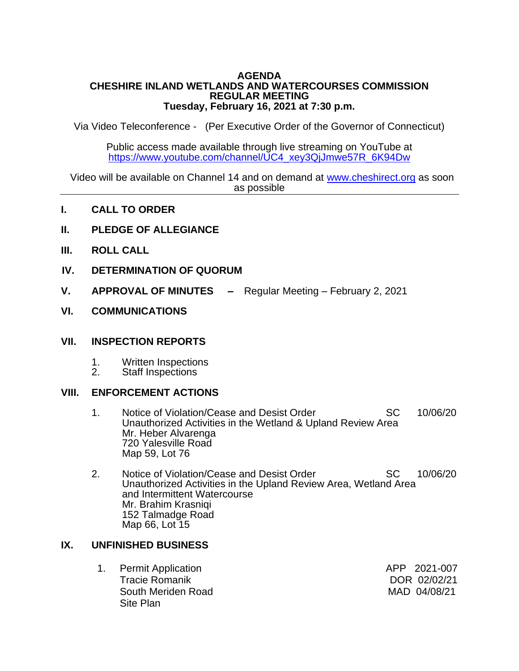#### **AGENDA CHESHIRE INLAND WETLANDS AND WATERCOURSES COMMISSION REGULAR MEETING Tuesday, February 16, 2021 at 7:30 p.m.**

Via Video Teleconference - (Per Executive Order of the Governor of Connecticut)

Public access made available through live streaming on YouTube at [https://www.youtube.com/channel/UC4\\_xey3QjJmwe57R\\_6K94Dw](https://www.youtube.com/channel/UC4_xey3QjJmwe57R_6K94Dw)

 Video will be available on Channel 14 and on demand at [www.cheshirect.org](http://www.cheshirect.org/) as soon as possible

- **I. CALL TO ORDER**
- **II. PLEDGE OF ALLEGIANCE**
- **III. ROLL CALL**
- **IV. DETERMINATION OF QUORUM**
- **V. APPROVAL OF MINUTES –** Regular Meeting February 2, 2021 Ī
- **VI. COMMUNICATIONS**

### **VII. INSPECTION REPORTS**

- 1. Written Inspections<br>2. Staff Inspections
- Staff Inspections

### **VIII. ENFORCEMENT ACTIONS**

- 1. Notice of Violation/Cease and Desist Order SC 10/06/20 Unauthorized Activities in the Wetland & Upland Review Area Mr. Heber Alvarenga 720 Yalesville Road Map 59, Lot 76
- 2. Notice of Violation/Cease and Desist Order SC 10/06/20 Unauthorized Activities in the Upland Review Area, Wetland Area and Intermittent Watercourse Mr. Brahim Krasniqi 152 Talmadge Road Map 66, Lot 15

### **IX. UNFINISHED BUSINESS**

| 1. Permit Application | APP 2021-007 |
|-----------------------|--------------|
| <b>Tracie Romanik</b> | DOR 02/02/21 |
| South Meriden Road    | MAD 04/08/21 |
| Site Plan             |              |